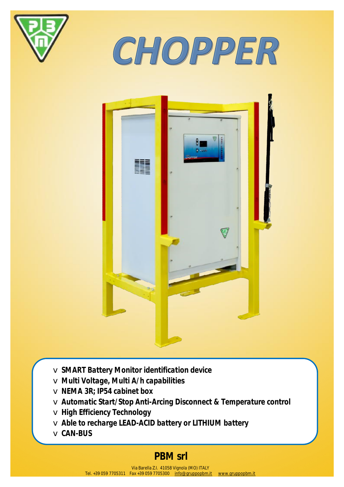

CHOPPER



v *SMART Battery Monitor identification device*  v *Multi Voltage, Multi A/h capabilities*  v *NEMA 3R; IP54 cabinet box*  v *Automatic Start/Stop Anti-Arcing Disconnect & Temperature control*  v *High Efficiency Technology*  v *Able to recharge LEAD-ACID battery or LITHIUM battery*  v *CAN-BUS* 

## **PBM srl**